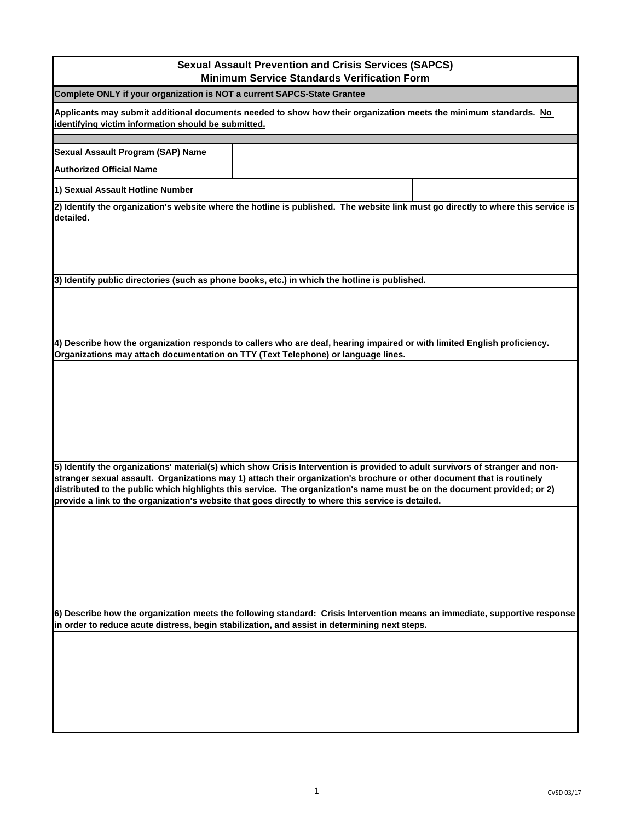| <b>Sexual Assault Prevention and Crisis Services (SAPCS)</b><br><b>Minimum Service Standards Verification Form</b>                                                                                                                                                                                                                                                                                                                                                                        |                                                                                                                            |  |
|-------------------------------------------------------------------------------------------------------------------------------------------------------------------------------------------------------------------------------------------------------------------------------------------------------------------------------------------------------------------------------------------------------------------------------------------------------------------------------------------|----------------------------------------------------------------------------------------------------------------------------|--|
| Complete ONLY if your organization is NOT a current SAPCS-State Grantee                                                                                                                                                                                                                                                                                                                                                                                                                   |                                                                                                                            |  |
| Applicants may submit additional documents needed to show how their organization meets the minimum standards. No<br>identifying victim information should be submitted.                                                                                                                                                                                                                                                                                                                   |                                                                                                                            |  |
| Sexual Assault Program (SAP) Name                                                                                                                                                                                                                                                                                                                                                                                                                                                         |                                                                                                                            |  |
| <b>Authorized Official Name</b>                                                                                                                                                                                                                                                                                                                                                                                                                                                           |                                                                                                                            |  |
| 1) Sexual Assault Hotline Number                                                                                                                                                                                                                                                                                                                                                                                                                                                          |                                                                                                                            |  |
| 2) Identify the organization's website where the hotline is published. The website link must go directly to where this service is<br>detailed.                                                                                                                                                                                                                                                                                                                                            |                                                                                                                            |  |
|                                                                                                                                                                                                                                                                                                                                                                                                                                                                                           |                                                                                                                            |  |
|                                                                                                                                                                                                                                                                                                                                                                                                                                                                                           | 3) Identify public directories (such as phone books, etc.) in which the hotline is published.                              |  |
|                                                                                                                                                                                                                                                                                                                                                                                                                                                                                           |                                                                                                                            |  |
| Organizations may attach documentation on TTY (Text Telephone) or language lines.                                                                                                                                                                                                                                                                                                                                                                                                         | 4) Describe how the organization responds to callers who are deaf, hearing impaired or with limited English proficiency.   |  |
|                                                                                                                                                                                                                                                                                                                                                                                                                                                                                           |                                                                                                                            |  |
| 5) Identify the organizations' material(s) which show Crisis Intervention is provided to adult survivors of stranger and non-<br>stranger sexual assault. Organizations may 1) attach their organization's brochure or other document that is routinely<br>distributed to the public which highlights this service. The organization's name must be on the document provided; or 2)<br>provide a link to the organization's website that goes directly to where this service is detailed. |                                                                                                                            |  |
|                                                                                                                                                                                                                                                                                                                                                                                                                                                                                           | 6) Describe how the organization meets the following standard: Crisis Intervention means an immediate, supportive response |  |
|                                                                                                                                                                                                                                                                                                                                                                                                                                                                                           | in order to reduce acute distress, begin stabilization, and assist in determining next steps.                              |  |
|                                                                                                                                                                                                                                                                                                                                                                                                                                                                                           |                                                                                                                            |  |
|                                                                                                                                                                                                                                                                                                                                                                                                                                                                                           |                                                                                                                            |  |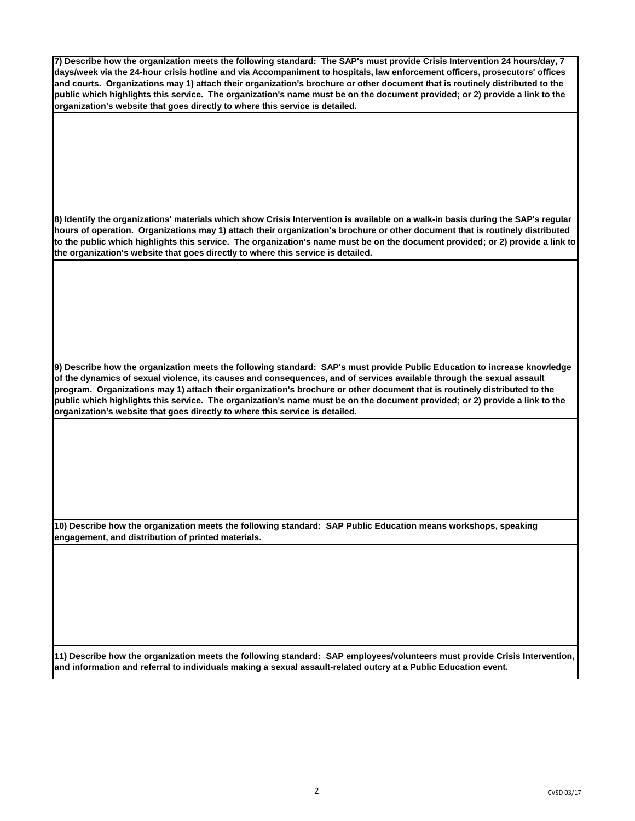**7) Describe how the organization meets the following standard: The SAP's must provide Crisis Intervention 24 hours/day, 7 days/week via the 24-hour crisis hotline and via Accompaniment to hospitals, law enforcement officers, prosecutors' offices and courts. Organizations may 1) attach their organization's brochure or other document that is routinely distributed to the public which highlights this service. The organization's name must be on the document provided; or 2) provide a link to the organization's website that goes directly to where this service is detailed.** 

**8) Identify the organizations' materials which show Crisis Intervention is available on a walk-in basis during the SAP's regular hours of operation. Organizations may 1) attach their organization's brochure or other document that is routinely distributed to the public which highlights this service. The organization's name must be on the document provided; or 2) provide a link to the organization's website that goes directly to where this service is detailed.** 

**9) Describe how the organization meets the following standard: SAP's must provide Public Education to increase knowledge of the dynamics of sexual violence, its causes and consequences, and of services available through the sexual assault program. Organizations may 1) attach their organization's brochure or other document that is routinely distributed to the public which highlights this service. The organization's name must be on the document provided; or 2) provide a link to the organization's website that goes directly to where this service is detailed.** 

**10) Describe how the organization meets the following standard: SAP Public Education means workshops, speaking engagement, and distribution of printed materials.** 

**11) Describe how the organization meets the following standard: SAP employees/volunteers must provide Crisis Intervention, and information and referral to individuals making a sexual assault-related outcry at a Public Education event.**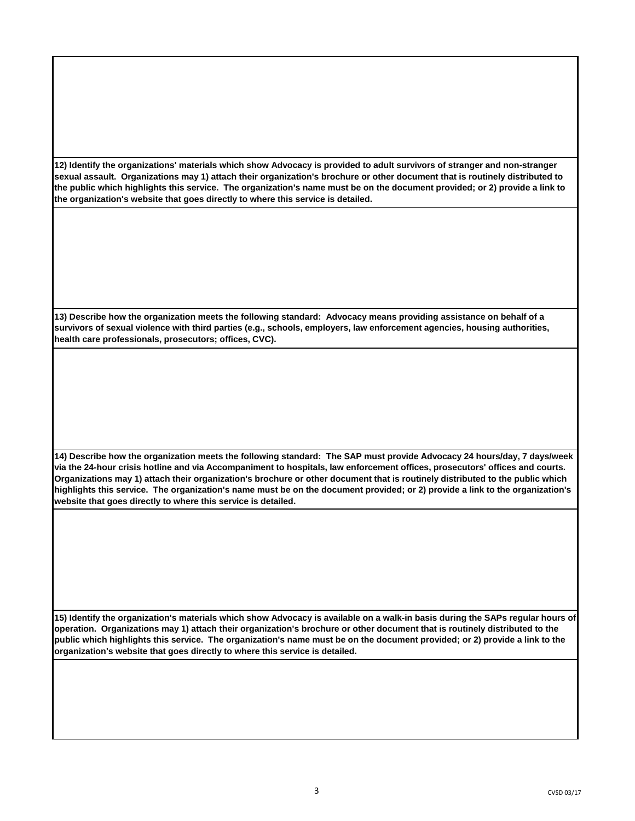**12) Identify the organizations' materials which show Advocacy is provided to adult survivors of stranger and non-stranger sexual assault. Organizations may 1) attach their organization's brochure or other document that is routinely distributed to the public which highlights this service. The organization's name must be on the document provided; or 2) provide a link to the organization's website that goes directly to where this service is detailed.** 

**13) Describe how the organization meets the following standard: Advocacy means providing assistance on behalf of a survivors of sexual violence with third parties (e.g., schools, employers, law enforcement agencies, housing authorities, health care professionals, prosecutors; offices, CVC).** 

**14) Describe how the organization meets the following standard: The SAP must provide Advocacy 24 hours/day, 7 days/week via the 24-hour crisis hotline and via Accompaniment to hospitals, law enforcement offices, prosecutors' offices and courts. Organizations may 1) attach their organization's brochure or other document that is routinely distributed to the public which highlights this service. The organization's name must be on the document provided; or 2) provide a link to the organization's website that goes directly to where this service is detailed.** 

**15) Identify the organization's materials which show Advocacy is available on a walk-in basis during the SAPs regular hours of operation. Organizations may 1) attach their organization's brochure or other document that is routinely distributed to the public which highlights this service. The organization's name must be on the document provided; or 2) provide a link to the organization's website that goes directly to where this service is detailed.**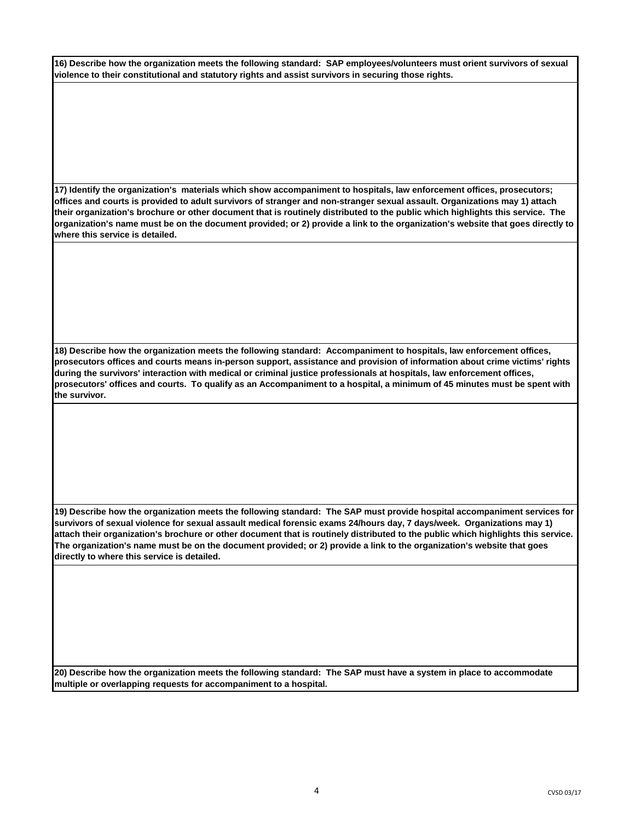| 16) Describe how the organization meets the following standard: SAP employees/volunteers must orient survivors of sexual |  |
|--------------------------------------------------------------------------------------------------------------------------|--|
| violence to their constitutional and statutory rights and assist survivors in securing those rights.                     |  |

**17) Identify the organization's materials which show accompaniment to hospitals, law enforcement offices, prosecutors; offices and courts is provided to adult survivors of stranger and non-stranger sexual assault. Organizations may 1) attach their organization's brochure or other document that is routinely distributed to the public which highlights this service. The organization's name must be on the document provided; or 2) provide a link to the organization's website that goes directly to where this service is detailed.** 

**18) Describe how the organization meets the following standard: Accompaniment to hospitals, law enforcement offices, prosecutors offices and courts means in-person support, assistance and provision of information about crime victims' rights during the survivors' interaction with medical or criminal justice professionals at hospitals, law enforcement offices, prosecutors' offices and courts. To qualify as an Accompaniment to a hospital, a minimum of 45 minutes must be spent with the survivor.** 

**19) Describe how the organization meets the following standard: The SAP must provide hospital accompaniment services for survivors of sexual violence for sexual assault medical forensic exams 24/hours day, 7 days/week. Organizations may 1) attach their organization's brochure or other document that is routinely distributed to the public which highlights this service. The organization's name must be on the document provided; or 2) provide a link to the organization's website that goes directly to where this service is detailed.** 

**20) Describe how the organization meets the following standard: The SAP must have a system in place to accommodate multiple or overlapping requests for accompaniment to a hospital.**